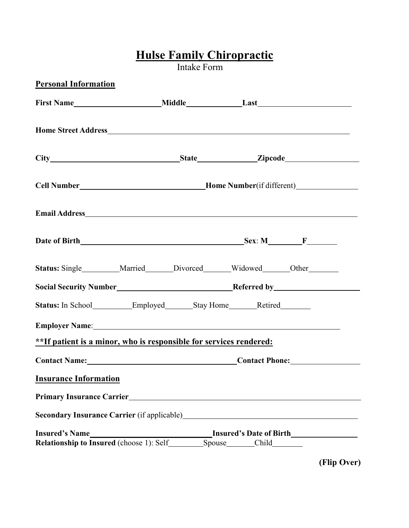## **Hulse Family Chiropractic**

Intake Form

| Cell Number________________________________Home Number(if different)_____________<br>Status: Single_________Married_____Divorced_____Widowed_____Other______<br>Status: In School Employed Stay Home Retired<br>Employer Name: 1988 and 2008 and 2008 and 2008 and 2008 and 2008 and 2008 and 2008 and 2008 and 2008 and 2008 and 2008 and 2008 and 2008 and 2008 and 2008 and 2008 and 2008 and 2008 and 2008 and 2008 and 2008 and 2008 and<br>**If patient is a minor, who is responsible for services rendered:<br>Contact Name: Contact Phone:<br><b>Insurance Information</b> | <b>Personal Information</b> |  |
|-------------------------------------------------------------------------------------------------------------------------------------------------------------------------------------------------------------------------------------------------------------------------------------------------------------------------------------------------------------------------------------------------------------------------------------------------------------------------------------------------------------------------------------------------------------------------------------|-----------------------------|--|
|                                                                                                                                                                                                                                                                                                                                                                                                                                                                                                                                                                                     |                             |  |
|                                                                                                                                                                                                                                                                                                                                                                                                                                                                                                                                                                                     |                             |  |
|                                                                                                                                                                                                                                                                                                                                                                                                                                                                                                                                                                                     |                             |  |
|                                                                                                                                                                                                                                                                                                                                                                                                                                                                                                                                                                                     |                             |  |
|                                                                                                                                                                                                                                                                                                                                                                                                                                                                                                                                                                                     |                             |  |
|                                                                                                                                                                                                                                                                                                                                                                                                                                                                                                                                                                                     |                             |  |
|                                                                                                                                                                                                                                                                                                                                                                                                                                                                                                                                                                                     |                             |  |
|                                                                                                                                                                                                                                                                                                                                                                                                                                                                                                                                                                                     |                             |  |
|                                                                                                                                                                                                                                                                                                                                                                                                                                                                                                                                                                                     |                             |  |
|                                                                                                                                                                                                                                                                                                                                                                                                                                                                                                                                                                                     |                             |  |
|                                                                                                                                                                                                                                                                                                                                                                                                                                                                                                                                                                                     |                             |  |
|                                                                                                                                                                                                                                                                                                                                                                                                                                                                                                                                                                                     |                             |  |
|                                                                                                                                                                                                                                                                                                                                                                                                                                                                                                                                                                                     |                             |  |
|                                                                                                                                                                                                                                                                                                                                                                                                                                                                                                                                                                                     |                             |  |
|                                                                                                                                                                                                                                                                                                                                                                                                                                                                                                                                                                                     |                             |  |
|                                                                                                                                                                                                                                                                                                                                                                                                                                                                                                                                                                                     |                             |  |

**(Flip Over)**